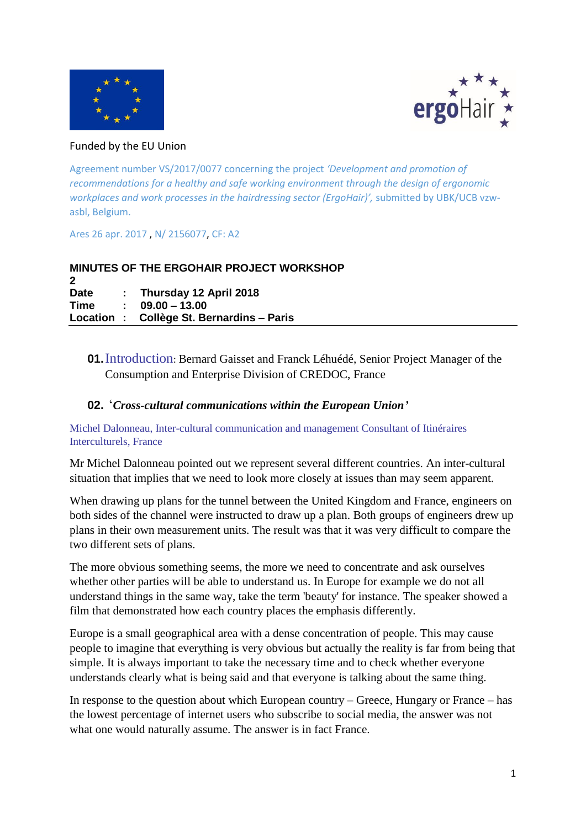



#### Funded by the EU Union

Agreement number VS/2017/0077 concerning the project *'Development and promotion of recommendations for a healthy and safe working environment through the design of ergonomic workplaces and work processes in the hairdressing sector (ErgoHair)',* submitted by UBK/UCB vzwasbl, Belgium.

Ares 26 apr. 2017 , N/ 2156077, CF: A2

|             | <b>MINUTES OF THE ERGOHAIR PROJECT WORKSHOP</b> |
|-------------|-------------------------------------------------|
|             |                                                 |
| <b>Date</b> | : Thursday 12 April 2018                        |
| Time        | $. 09.00 - 13.00$                               |
|             | Location: Collège St. Bernardins – Paris        |

## **01.**Introduction: Bernard Gaisset and Franck Léhuédé, Senior Project Manager of the Consumption and Enterprise Division of CREDOC, France

#### **02.** '*Cross-cultural communications within the European Union'*

Michel Dalonneau, Inter-cultural communication and management Consultant of Itinéraires Interculturels, France

Mr Michel Dalonneau pointed out we represent several different countries. An inter-cultural situation that implies that we need to look more closely at issues than may seem apparent.

When drawing up plans for the tunnel between the United Kingdom and France, engineers on both sides of the channel were instructed to draw up a plan. Both groups of engineers drew up plans in their own measurement units. The result was that it was very difficult to compare the two different sets of plans.

The more obvious something seems, the more we need to concentrate and ask ourselves whether other parties will be able to understand us. In Europe for example we do not all understand things in the same way, take the term 'beauty' for instance. The speaker showed a film that demonstrated how each country places the emphasis differently.

Europe is a small geographical area with a dense concentration of people. This may cause people to imagine that everything is very obvious but actually the reality is far from being that simple. It is always important to take the necessary time and to check whether everyone understands clearly what is being said and that everyone is talking about the same thing.

In response to the question about which European country – Greece, Hungary or France – has the lowest percentage of internet users who subscribe to social media, the answer was not what one would naturally assume. The answer is in fact France.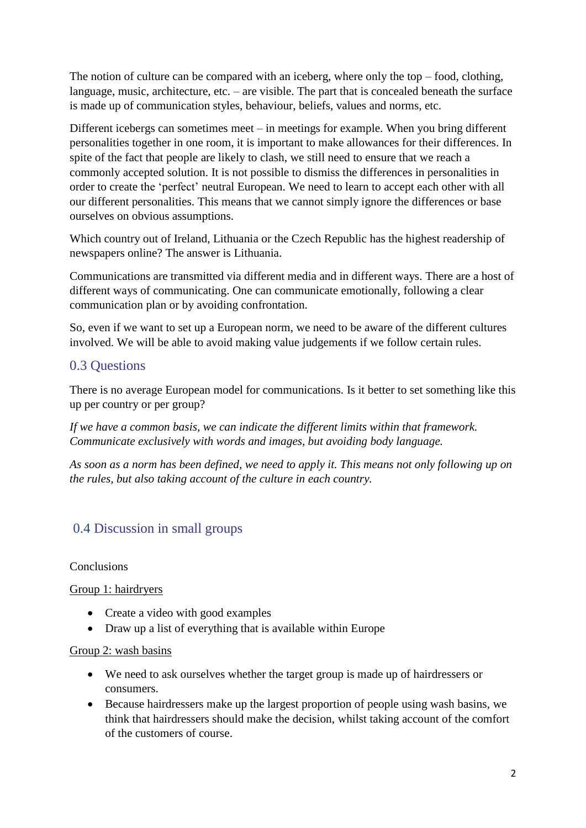The notion of culture can be compared with an iceberg, where only the top – food, clothing, language, music, architecture, etc. – are visible. The part that is concealed beneath the surface is made up of communication styles, behaviour, beliefs, values and norms, etc.

Different icebergs can sometimes meet – in meetings for example. When you bring different personalities together in one room, it is important to make allowances for their differences. In spite of the fact that people are likely to clash, we still need to ensure that we reach a commonly accepted solution. It is not possible to dismiss the differences in personalities in order to create the 'perfect' neutral European. We need to learn to accept each other with all our different personalities. This means that we cannot simply ignore the differences or base ourselves on obvious assumptions.

Which country out of Ireland, Lithuania or the Czech Republic has the highest readership of newspapers online? The answer is Lithuania.

Communications are transmitted via different media and in different ways. There are a host of different ways of communicating. One can communicate emotionally, following a clear communication plan or by avoiding confrontation.

So, even if we want to set up a European norm, we need to be aware of the different cultures involved. We will be able to avoid making value judgements if we follow certain rules.

# 0.3 Questions

There is no average European model for communications. Is it better to set something like this up per country or per group?

*If we have a common basis, we can indicate the different limits within that framework. Communicate exclusively with words and images, but avoiding body language.*

*As soon as a norm has been defined, we need to apply it. This means not only following up on the rules, but also taking account of the culture in each country.* 

# 0.4 Discussion in small groups

#### Conclusions

## Group 1: hairdryers

- Create a video with good examples
- Draw up a list of everything that is available within Europe

#### Group 2: wash basins

- We need to ask ourselves whether the target group is made up of hairdressers or consumers.
- Because hairdressers make up the largest proportion of people using wash basins, we think that hairdressers should make the decision, whilst taking account of the comfort of the customers of course.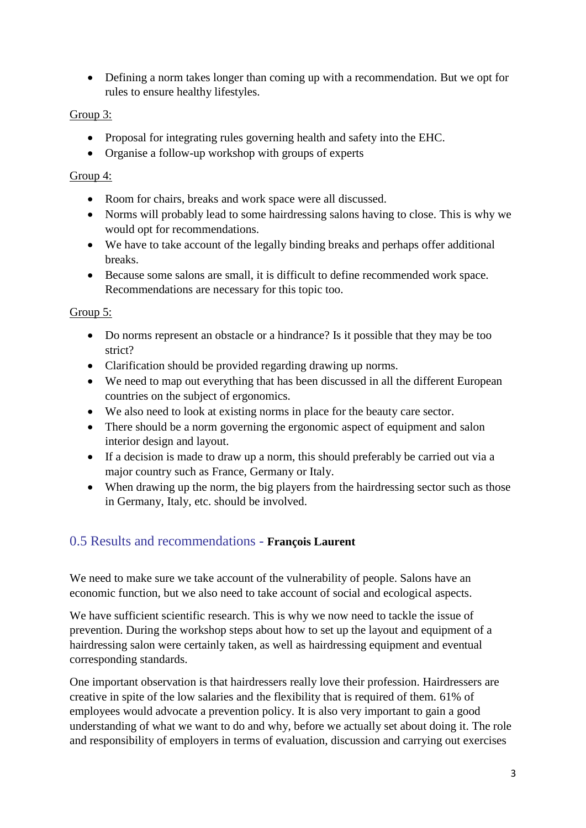Defining a norm takes longer than coming up with a recommendation. But we opt for rules to ensure healthy lifestyles.

## Group 3:

- Proposal for integrating rules governing health and safety into the EHC.
- Organise a follow-up workshop with groups of experts

### Group 4:

- Room for chairs, breaks and work space were all discussed.
- Norms will probably lead to some hairdressing salons having to close. This is why we would opt for recommendations.
- We have to take account of the legally binding breaks and perhaps offer additional breaks.
- Because some salons are small, it is difficult to define recommended work space. Recommendations are necessary for this topic too.

## Group 5:

- Do norms represent an obstacle or a hindrance? Is it possible that they may be too strict?
- Clarification should be provided regarding drawing up norms.
- We need to map out everything that has been discussed in all the different European countries on the subject of ergonomics.
- We also need to look at existing norms in place for the beauty care sector.
- There should be a norm governing the ergonomic aspect of equipment and salon interior design and layout.
- If a decision is made to draw up a norm, this should preferably be carried out via a major country such as France, Germany or Italy.
- When drawing up the norm, the big players from the hairdressing sector such as those in Germany, Italy, etc. should be involved.

# 0.5 Results and recommendations - **François Laurent**

We need to make sure we take account of the vulnerability of people. Salons have an economic function, but we also need to take account of social and ecological aspects.

We have sufficient scientific research. This is why we now need to tackle the issue of prevention. During the workshop steps about how to set up the layout and equipment of a hairdressing salon were certainly taken, as well as hairdressing equipment and eventual corresponding standards.

One important observation is that hairdressers really love their profession. Hairdressers are creative in spite of the low salaries and the flexibility that is required of them. 61% of employees would advocate a prevention policy. It is also very important to gain a good understanding of what we want to do and why, before we actually set about doing it. The role and responsibility of employers in terms of evaluation, discussion and carrying out exercises